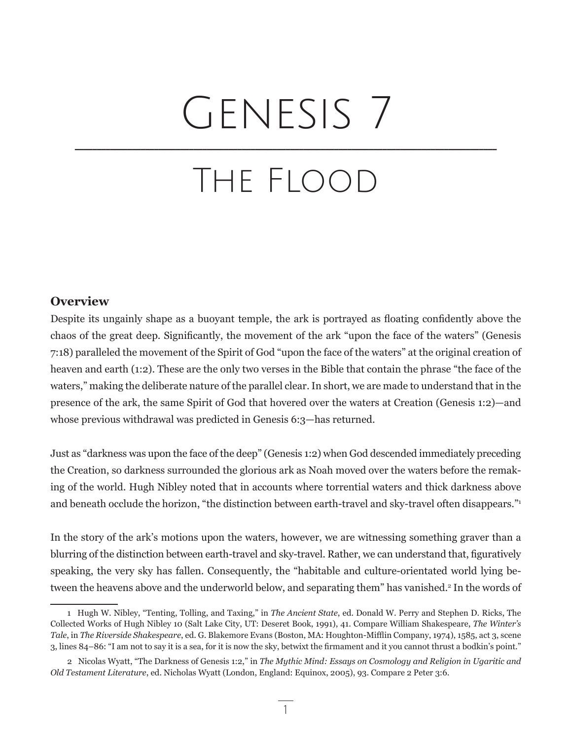# GENESIS 7 \_\_\_\_\_\_\_\_\_\_\_\_\_\_\_\_\_\_\_\_\_\_\_\_\_\_\_\_\_\_\_\_\_\_\_\_\_\_\_\_\_\_\_\_\_\_\_\_\_\_\_\_\_\_\_\_\_\_\_\_\_\_\_\_\_\_\_\_\_\_\_\_\_\_\_\_\_\_\_\_\_\_\_\_\_\_\_\_\_\_\_\_\_\_\_\_

## The Flood

## **Overview**

Despite its ungainly shape as a buoyant temple, the ark is portrayed as floating confidently above the chaos of the great deep. Significantly, the movement of the ark "upon the face of the waters" (Genesis 7:18) paralleled the movement of the Spirit of God "upon the face of the waters" at the original creation of heaven and earth (1:2). These are the only two verses in the Bible that contain the phrase "the face of the waters," making the deliberate nature of the parallel clear. In short, we are made to understand that in the presence of the ark, the same Spirit of God that hovered over the waters at Creation (Genesis 1:2)—and whose previous withdrawal was predicted in Genesis 6:3—has returned.

Just as "darkness was upon the face of the deep" (Genesis 1:2) when God descended immediately preceding the Creation, so darkness surrounded the glorious ark as Noah moved over the waters before the remaking of the world. Hugh Nibley noted that in accounts where torrential waters and thick darkness above and beneath occlude the horizon, "the distinction between earth-travel and sky-travel often disappears."<sup>1</sup>

In the story of the ark's motions upon the waters, however, we are witnessing something graver than a blurring of the distinction between earth-travel and sky-travel. Rather, we can understand that, figuratively speaking, the very sky has fallen. Consequently, the "habitable and culture-orientated world lying between the heavens above and the underworld below, and separating them" has vanished.<sup>2</sup> In the words of

<sup>1</sup> Hugh W. Nibley, "Tenting, Tolling, and Taxing," in *The Ancient State*, ed. Donald W. Perry and Stephen D. Ricks, The Collected Works of Hugh Nibley 10 (Salt Lake City, UT: Deseret Book, 1991), 41. Compare William Shakespeare, *The Winter's Tale*, in *The Riverside Shakespeare*, ed. G. Blakemore Evans (Boston, MA: Houghton-Mifflin Company, 1974), 1585, act 3, scene 3, lines 84–86: "I am not to say it is a sea, for it is now the sky, betwixt the firmament and it you cannot thrust a bodkin's point."

<sup>2</sup> Nicolas Wyatt, "The Darkness of Genesis 1:2," in *The Mythic Mind: Essays on Cosmology and Religion in Ugaritic and Old Testament Literature*, ed. Nicholas Wyatt (London, England: Equinox, 2005), 93. Compare 2 Peter 3:6.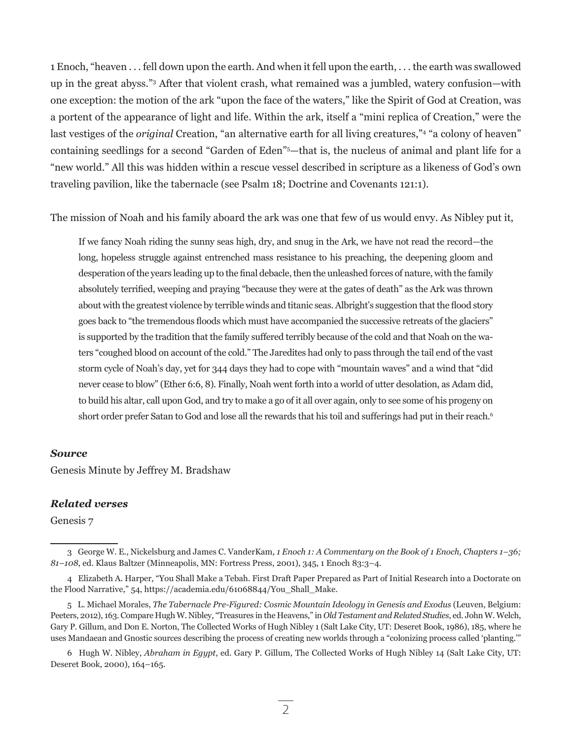1 Enoch, "heaven . . . fell down upon the earth. And when it fell upon the earth, . . . the earth was swallowed up in the great abyss."3 After that violent crash, what remained was a jumbled, watery confusion—with one exception: the motion of the ark "upon the face of the waters," like the Spirit of God at Creation, was a portent of the appearance of light and life. Within the ark, itself a "mini replica of Creation," were the last vestiges of the *original* Creation, "an alternative earth for all living creatures,"<sup>4</sup> "a colony of heaven" containing seedlings for a second "Garden of Eden"5 —that is, the nucleus of animal and plant life for a "new world." All this was hidden within a rescue vessel described in scripture as a likeness of God's own traveling pavilion, like the tabernacle (see Psalm 18; Doctrine and Covenants 121:1).

The mission of Noah and his family aboard the ark was one that few of us would envy. As Nibley put it,

If we fancy Noah riding the sunny seas high, dry, and snug in the Ark, we have not read the record—the long, hopeless struggle against entrenched mass resistance to his preaching, the deepening gloom and desperation of the years leading up to the final debacle, then the unleashed forces of nature, with the family absolutely terrified, weeping and praying "because they were at the gates of death" as the Ark was thrown about with the greatest violence by terrible winds and titanic seas. Albright's suggestion that the flood story goes back to "the tremendous floods which must have accompanied the successive retreats of the glaciers" is supported by the tradition that the family suffered terribly because of the cold and that Noah on the waters "coughed blood on account of the cold." The Jaredites had only to pass through the tail end of the vast storm cycle of Noah's day, yet for 344 days they had to cope with "mountain waves" and a wind that "did never cease to blow" (Ether 6:6, 8). Finally, Noah went forth into a world of utter desolation, as Adam did, to build his altar, call upon God, and try to make a go of it all over again, only to see some of his progeny on short order prefer Satan to God and lose all the rewards that his toil and sufferings had put in their reach.<sup>6</sup>

#### *Source*

Genesis Minute by Jeffrey M. Bradshaw

#### *Related verses*

Genesis 7

<sup>3</sup> George W. E., Nickelsburg and James C. VanderKam, *1 Enoch 1: A Commentary on the Book of 1 Enoch, Chapters 1–36; 81–108*, ed. Klaus Baltzer (Minneapolis, MN: Fortress Press, 2001), 345, 1 Enoch 83:3–4.

<sup>4</sup> Elizabeth A. Harper, "You Shall Make a Tebah. First Draft Paper Prepared as Part of Initial Research into a Doctorate on the Flood Narrative," 54, https://academia.edu/61068844/You\_Shall\_Make.

<sup>5</sup> L. Michael Morales, *The Tabernacle Pre-Figured: Cosmic Mountain Ideology in Genesis and Exodus* (Leuven, Belgium: Peeters, 2012), 163. Compare Hugh W. Nibley, "Treasures in the Heavens," in *Old Testament and Related Studies*, ed. John W. Welch, Gary P. Gillum, and Don E. Norton, The Collected Works of Hugh Nibley 1 (Salt Lake City, UT: Deseret Book, 1986), 185, where he uses Mandaean and Gnostic sources describing the process of creating new worlds through a "colonizing process called 'planting.'"

<sup>6</sup> Hugh W. Nibley, *Abraham in Egypt*, ed. Gary P. Gillum, The Collected Works of Hugh Nibley 14 (Salt Lake City, UT: Deseret Book, 2000), 164–165.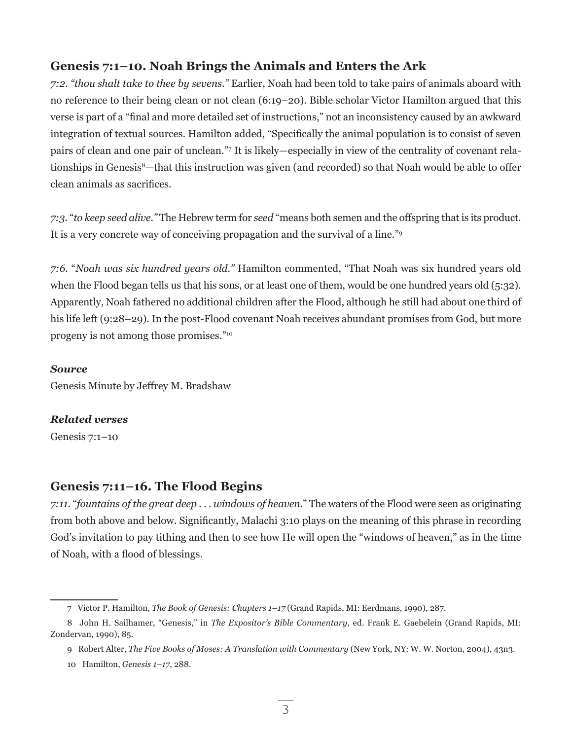## **Genesis 7:1–10. Noah Brings the Animals and Enters the Ark**

*7:2. "thou shalt take to thee by sevens."* Earlier, Noah had been told to take pairs of animals aboard with no reference to their being clean or not clean (6:19–20). Bible scholar Victor Hamilton argued that this verse is part of a "final and more detailed set of instructions," not an inconsistency caused by an awkward integration of textual sources. Hamilton added, "Specifically the animal population is to consist of seven pairs of clean and one pair of unclean."<sup>7</sup> It is likely—especially in view of the centrality of covenant relationships in Genesis<sup>8</sup>—that this instruction was given (and recorded) so that Noah would be able to offer clean animals as sacrifices.

*7:3.* "*to keep seed alive."* The Hebrew term for *seed* "means both semen and the offspring that is its product. It is a very concrete way of conceiving propagation and the survival of a line."9

*7:6.* "*Noah was six hundred years old."* Hamilton commented, "That Noah was six hundred years old when the Flood began tells us that his sons, or at least one of them, would be one hundred years old (5:32). Apparently, Noah fathered no additional children after the Flood, although he still had about one third of his life left (9:28–29). In the post-Flood covenant Noah receives abundant promises from God, but more progeny is not among those promises."10

#### *Source*

Genesis Minute by Jeffrey M. Bradshaw

## *Related verses*

Genesis 7:1–10

## **Genesis 7:11–16. The Flood Begins**

*7:11.* "*fountains of the great deep . . . windows of heaven*." The waters of the Flood were seen as originating from both above and below. Significantly, Malachi 3:10 plays on the meaning of this phrase in recording God's invitation to pay tithing and then to see how He will open the "windows of heaven," as in the time of Noah, with a flood of blessings.

<sup>7</sup> Victor P. Hamilton, *The Book of Genesis: Chapters 1–17* (Grand Rapids, MI: Eerdmans, 1990), 287.

<sup>8</sup> John H. Sailhamer, "Genesis," in *The Expositor's Bible Commentary*, ed. Frank E. Gaebelein (Grand Rapids, MI: Zondervan, 1990), 85.

<sup>9</sup> Robert Alter, *The Five Books of Moses: A Translation with Commentary* (New York, NY: W. W. Norton, 2004), 43n3.

<sup>10</sup> Hamilton, *Genesis 1–17*, 288.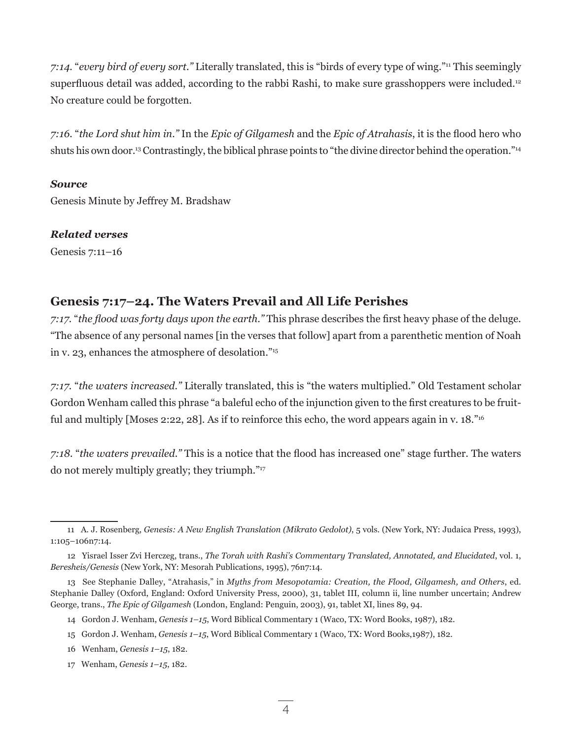*7:14.* "*every bird of every sort."* Literally translated, this is "birds of every type of wing."<sup>11</sup> This seemingly superfluous detail was added, according to the rabbi Rashi, to make sure grasshoppers were included.<sup>12</sup> No creature could be forgotten.

*7:16.* "*the Lord shut him in."* In the *Epic of Gilgamesh* and the *Epic of Atrahasis*, it is the flood hero who shuts his own door.<sup>13</sup> Contrastingly, the biblical phrase points to "the divine director behind the operation."<sup>14</sup>

## *Source*

Genesis Minute by Jeffrey M. Bradshaw

## *Related verses*

Genesis 7:11–16

## **Genesis 7:17–24. The Waters Prevail and All Life Perishes**

*7:17.* "*the flood was forty days upon the earth."* This phrase describes the first heavy phase of the deluge. "The absence of any personal names [in the verses that follow] apart from a parenthetic mention of Noah in v. 23, enhances the atmosphere of desolation."15

*7:17.* "*the waters increased."* Literally translated, this is "the waters multiplied." Old Testament scholar Gordon Wenham called this phrase "a baleful echo of the injunction given to the first creatures to be fruitful and multiply [Moses 2:22, 28]. As if to reinforce this echo, the word appears again in v. 18."<sup>16</sup>

*7:18.* "*the waters prevailed."* This is a notice that the flood has increased one" stage further. The waters do not merely multiply greatly; they triumph."<sup>17</sup>

- 15 Gordon J. Wenham, *Genesis 1–15*, Word Biblical Commentary 1 (Waco, TX: Word Books,1987), 182.
- 16 Wenham, *Genesis 1–15*, 182.
- 17 Wenham, *Genesis 1–15*, 182.

<sup>11</sup> A. J. Rosenberg, *Genesis: A New English Translation (Mikrato Gedolot)*, 5 vols. (New York, NY: Judaica Press, 1993), 1:105–106n7:14.

<sup>12</sup> Yisrael Isser Zvi Herczeg, trans., *The Torah with Rashi's Commentary Translated, Annotated, and Elucidated*, vol. 1, *Beresheis/Genesis* (New York, NY: Mesorah Publications, 1995), 76n7:14.

<sup>13</sup> See Stephanie Dalley, "Atrahasis," in *Myths from Mesopotamia: Creation, the Flood, Gilgamesh, and Others*, ed. Stephanie Dalley (Oxford, England: Oxford University Press, 2000), 31, tablet III, column ii, line number uncertain; Andrew George, trans., *The Epic of Gilgamesh* (London, England: Penguin, 2003), 91, tablet XI, lines 89, 94.

<sup>14</sup> Gordon J. Wenham, *Genesis 1–15*, Word Biblical Commentary 1 (Waco, TX: Word Books, 1987), 182.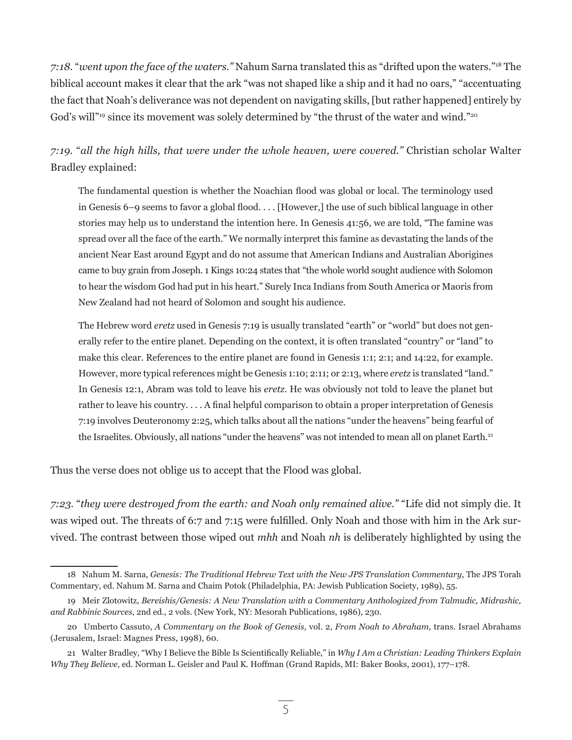*7:18.* "*went upon the face of the waters."* Nahum Sarna translated this as "drifted upon the waters."<sup>18</sup> The biblical account makes it clear that the ark "was not shaped like a ship and it had no oars," "accentuating the fact that Noah's deliverance was not dependent on navigating skills, [but rather happened] entirely by God's will"<sup>19</sup> since its movement was solely determined by "the thrust of the water and wind."<sup>20</sup>

*7:19.* "*all the high hills, that were under the whole heaven, were covered."* Christian scholar Walter Bradley explained:

The fundamental question is whether the Noachian flood was global or local. The terminology used in Genesis 6–9 seems to favor a global flood. . . . [However,] the use of such biblical language in other stories may help us to understand the intention here. In Genesis 41:56, we are told, "The famine was spread over all the face of the earth." We normally interpret this famine as devastating the lands of the ancient Near East around Egypt and do not assume that American Indians and Australian Aborigines came to buy grain from Joseph. 1 Kings 10:24 states that "the whole world sought audience with Solomon to hear the wisdom God had put in his heart." Surely Inca Indians from South America or Maoris from New Zealand had not heard of Solomon and sought his audience.

The Hebrew word *eretz* used in Genesis 7:19 is usually translated "earth" or "world" but does not generally refer to the entire planet. Depending on the context, it is often translated "country" or "land" to make this clear. References to the entire planet are found in Genesis 1:1; 2:1; and 14:22, for example. However, more typical references might be Genesis 1:10; 2:11; or 2:13, where *eretz* is translated "land." In Genesis 12:1, Abram was told to leave his *eretz*. He was obviously not told to leave the planet but rather to leave his country. . . . A final helpful comparison to obtain a proper interpretation of Genesis 7:19 involves Deuteronomy 2:25, which talks about all the nations "under the heavens" being fearful of the Israelites. Obviously, all nations "under the heavens" was not intended to mean all on planet Earth.<sup>21</sup>

Thus the verse does not oblige us to accept that the Flood was global.

*7:23.* "*they were destroyed from the earth: and Noah only remained alive."* "Life did not simply die. It was wiped out. The threats of 6:7 and 7:15 were fulfilled. Only Noah and those with him in the Ark survived. The contrast between those wiped out *mhh* and Noah *nh* is deliberately highlighted by using the

<sup>18</sup> Nahum M. Sarna, *Genesis: The Traditional Hebrew Text with the New JPS Translation Commentary*, The JPS Torah Commentary, ed. Nahum M. Sarna and Chaim Potok (Philadelphia, PA: Jewish Publication Society, 1989), 55.

<sup>19</sup> Meir Zlotowitz, *Bereishis/Genesis: A New Translation with a Commentary Anthologized from Talmudic, Midrashic, and Rabbinic Sources*, 2nd ed., 2 vols. (New York, NY: Mesorah Publications, 1986), 230.

<sup>20</sup> Umberto Cassuto, *A Commentary on the Book of Genesis,* vol. 2, *From Noah to Abraham*, trans. Israel Abrahams (Jerusalem, Israel: Magnes Press, 1998), 60.

<sup>21</sup> Walter Bradley, "Why I Believe the Bible Is Scientifically Reliable," in *Why I Am a Christian: Leading Thinkers Explain Why They Believe*, ed. Norman L. Geisler and Paul K. Hoffman (Grand Rapids, MI: Baker Books, 2001), 177–178.